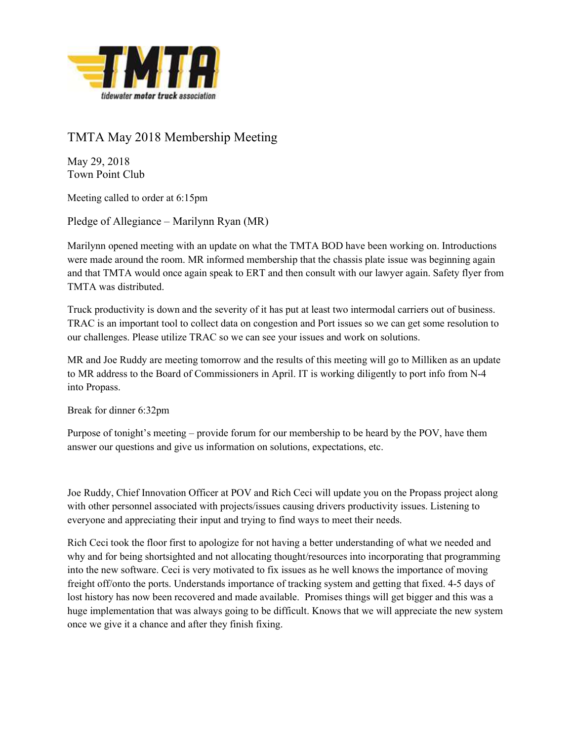

## TMTA May 2018 Membership Meeting

May 29, 2018 Town Point Club

Meeting called to order at 6:15pm

Pledge of Allegiance – Marilynn Ryan (MR)

Marilynn opened meeting with an update on what the TMTA BOD have been working on. Introductions were made around the room. MR informed membership that the chassis plate issue was beginning again and that TMTA would once again speak to ERT and then consult with our lawyer again. Safety flyer from TMTA was distributed.

Truck productivity is down and the severity of it has put at least two intermodal carriers out of business. TRAC is an important tool to collect data on congestion and Port issues so we can get some resolution to our challenges. Please utilize TRAC so we can see your issues and work on solutions.

MR and Joe Ruddy are meeting tomorrow and the results of this meeting will go to Milliken as an update to MR address to the Board of Commissioners in April. IT is working diligently to port info from N-4 into Propass.

Break for dinner 6:32pm

Purpose of tonight's meeting – provide forum for our membership to be heard by the POV, have them answer our questions and give us information on solutions, expectations, etc.

Joe Ruddy, Chief Innovation Officer at POV and Rich Ceci will update you on the Propass project along with other personnel associated with projects/issues causing drivers productivity issues. Listening to everyone and appreciating their input and trying to find ways to meet their needs.

Rich Ceci took the floor first to apologize for not having a better understanding of what we needed and why and for being shortsighted and not allocating thought/resources into incorporating that programming into the new software. Ceci is very motivated to fix issues as he well knows the importance of moving freight off/onto the ports. Understands importance of tracking system and getting that fixed. 4-5 days of lost history has now been recovered and made available. Promises things will get bigger and this was a huge implementation that was always going to be difficult. Knows that we will appreciate the new system once we give it a chance and after they finish fixing.